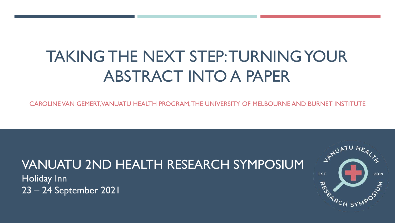# TAKING THE NEXT STEP: TURNING YOUR ABSTRACT INTO A PAPER

CAROLINE VAN GEMERT, VANUATU HEALTH PROGRAM, THE UNIVERSITY OF MELBOURNE AND BURNET INSTITUTE

# VANUATU 2ND HEALTH RESEARCH SYMPOSIUM

Holiday Inn 23 – 24 September 2021

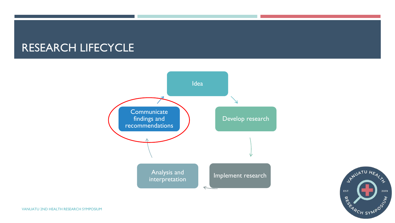### RESEARCH LIFECYCLE



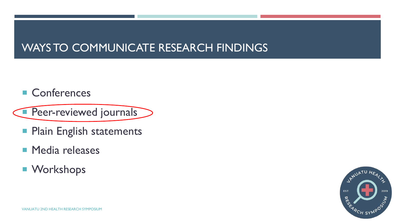# WAYS TO COMMUNICATE RESEARCH FINDINGS

■ Conferences

**Peer-reviewed journals** 

- **Plain English statements**
- **Media releases**
- Workshops

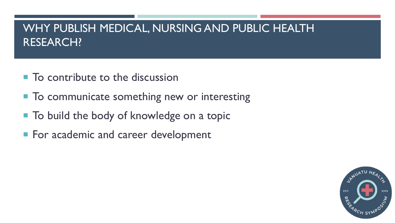# WHY PUBLISH MEDICAL, NURSING AND PUBLIC HEALTH RESEARCH?

- To contribute to the discussion
- To communicate something new or interesting
- To build the body of knowledge on a topic
- For academic and career development

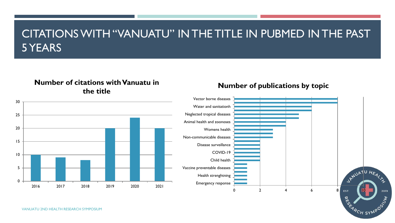# CITATIONS WITH "VANUATU" IN THE TITLE IN PUBMED IN THE PAST 5 YEARS

#### **Number of citations with Vanuatu in the title**

#### **Number of publications by topic**



0

5

10

15

20

25

30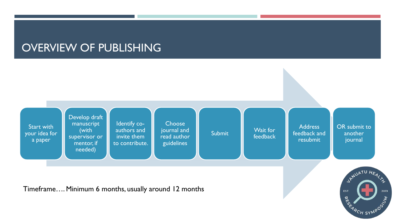## OVERVIEW OF PUBLISHING

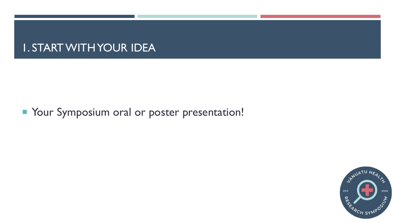### 1. START WITH YOUR IDEA

### **Your Symposium oral or poster presentation!**

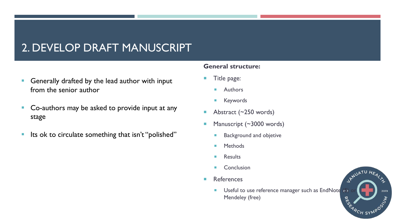# 2. DEVELOP DRAFT MANUSCRIPT

- Generally drafted by the lead author with input from the senior author
- Co-authors may be asked to provide input at any stage
- Its ok to circulate something that isn't "polished"

#### **General structure:**

- **Title page:** 
	- **Authors**
	- **Keywords**
- Abstract (~250 words)
- Manuscript (~3000 words)
	- **Background and objetive**
	- **Methods**
	- **Results**
	- **Conclusion**
- **References** 
	- **Useful to use reference manager such as EndNote** Mendeley (free)

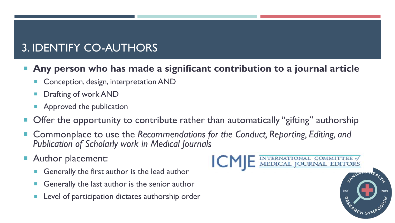# 3. IDENTIFY CO-AUTHORS

#### **Any person who has made a significant contribution to a journal article**

- Conception, design, interpretation AND
- Drafting of work AND
- Approved the publication
- Offer the opportunity to contribute rather than automatically "gifting" authorship
- Commonplace to use the *Recommendations for the Conduct, Reporting, Editing, and Publication of Scholarly work in Medical Journals*
- Author placement:
	- Generally the first author is the lead author
	- Generally the last author is the senior author
	- Level of participation dictates authorship order

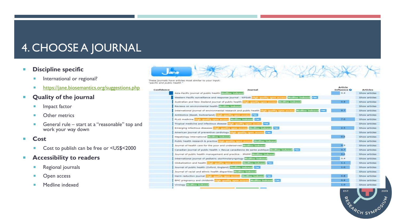# 4. CHOOSE A JOURNAL

#### **Produci** Discipline specific

- **International or regional?**
- **<https://jane.biosemantics.org/suggestions.php>**
- **Quality of the journal**
	- **Impact factor**
	- **D** Other metrics
	- General rule start at a "reasonable" top and work your way down
- **Cost**
	- Cost to publish can be free or <US\$<2000
- **Accessibility to readers**
	- Regional journals
	- **D** Open access
	- **Medline indexed**



| These journals have articles most similar to your input |  |  |  |  |
|---------------------------------------------------------|--|--|--|--|
| 'pacific and public health."                            |  |  |  |  |

Confie

| ience | <b>Journal</b>                                                                                                            | Article<br>Influence <sup>O</sup> | <b>Articles</b> |
|-------|---------------------------------------------------------------------------------------------------------------------------|-----------------------------------|-----------------|
|       | Asia-Pacific (ournal of public health Listling-Indexed                                                                    | 0.4                               | Show articles   |
|       | Western Pacific surveillance and response journal : WPSAR Library mailly open norms. Medline indexed PMC                  |                                   | Show articles   |
|       | Australian and New Zealand journal of public health High-minity open access Medline-indexed                               | 0.9                               | Show articles   |
|       | Reviews on environmental health Madline-indexed                                                                           |                                   | Show articles   |
|       | International journal of environmental research and public health units public public public stress. Meditive indexed PMS | 0.7                               | Show articles   |
|       | Antibiotics (Basel, Switzerland) <mark>Linn minility open noones</mark> PMC                                               |                                   | Show articles   |
|       | PLoS medicine High-quality open access Medline-indexed PMC                                                                | 7.0                               | Show articles   |
|       | Tropical medicine and infectious disease <b>in this public square access DMC</b>                                          |                                   | Show articles   |
|       | Emerging infectious diseases <b>Light quality open access</b> Medline Indexed PMC                                         | 2.5.                              | Show articles   |
|       | American journal of preventive cardiology <b>Hole quality open nonnel DMS</b>                                             |                                   | Show articles   |
|       | Hepatology international Medilme-Indexed                                                                                  | 0.6                               | Show articles   |
|       | Public health research & practice Highlaguailty open access. Medline-indexed                                              |                                   | Show articles   |
|       | Journal of health care for the poor and underserved Mediline-Indexed                                                      | 0.5                               | Show articles   |
|       | Canadian journal of public health = Revue canadienne de sante publique [ [adline-indexed [1916]                           | 0.7                               | Show articles   |
|       | Journal of public health management and practice : JPHMP [Modline-indexed]                                                | 0.6                               | Show articles   |
|       | International journal of pediatric otorhinolaryngology [ colline indexed]                                                 | 0.4                               | Show articles   |
|       | Globalization and health High-quality open access Medilne-Indexed PMC                                                     | 1.1                               | Show articles   |
|       | Journal of public health (Oxford, England) Meditine-Indoxed TIME                                                          | $1.0 -$                           | Show articles   |
|       | Journal of racial and ethnic health disparities bustline indexed                                                          |                                   | Show articles   |
|       | Harm reduction journal little-quality open access. Meditive-indexed [PMC]                                                 | 0.8                               | Show articles   |
|       | BMC pregnancy and childbirth Liligh quality open aboss. Medline indexed DMC                                               | 0.9                               | Show articles   |
|       | <b>Virology Medline-Indexed</b>                                                                                           | 1.0                               | Show articles   |

2019

RES

<sup>'A</sup>CH SYN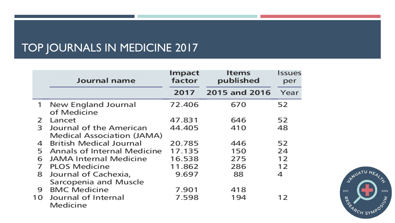# TOP JOURNALS IN MEDICINE 2017

|    | Journal name                       | Impact<br>factor | <b>Items</b><br>published | Issues<br>per. |
|----|------------------------------------|------------------|---------------------------|----------------|
|    |                                    | 2017             | 2015 and 2016             | Year           |
| 1  | New England Journal<br>of Medicine | 72.406           | 670                       | 52             |
| 2  | Lancet                             | 47.831           | 646                       | 52             |
| 3  | Journal of the American            | 44.405           | 410                       | 48             |
|    | Medical Association (JAMA)         |                  |                           |                |
| 4  | <b>British Medical Journal</b>     | 20.785           | 446                       | 52             |
| 5  | Annals of Internal Medicine        | 17.135           | 150                       | 24             |
| 6  | <b>JAMA Internal Medicine</b>      | 16.538           | 275                       | 12             |
| 7  | <b>PLOS Medicine</b>               | 11.862           | 286                       | 12             |
| 8  | Journal of Cachexia,               | 9.697            | 88                        | 4              |
|    | Sarcopenia and Muscle              |                  |                           |                |
| 9  | <b>BMC Medicine</b>                | 7.901            | 418                       |                |
| 10 | Journal of Internal<br>Medicine    | 7.598            | 194                       | 12             |

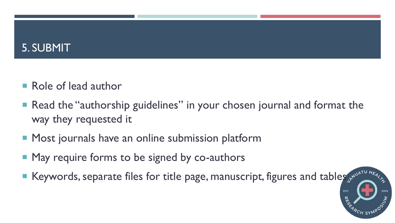# 5. SUBMIT

- Role of lead author
- Read the "authorship guidelines" in your chosen journal and format the way they requested it
- **Most journals have an online submission platform**
- **May require forms to be signed by co-authors**
- Reywords, separate files for title page, manuscript, figures and tables  $s_{\mu}$  and table  $s_{\mu}$  and table  $s_{\mu}$  and  $t$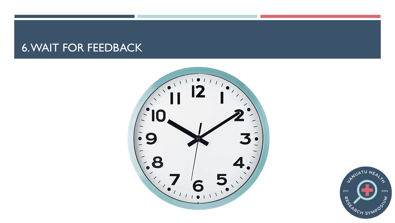### 6. WAIT FOR FEEDBACK



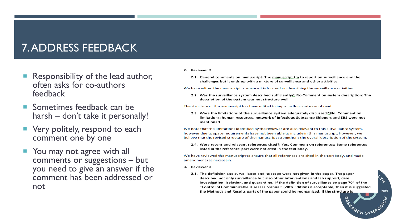# 7. ADDRESS FEEDBACK

- Responsibility of the lead author, often asks for co-authors feedback
- Sometimes feedback can be harsh – don't take it personally!
- Very politely, respond to each comment one by one
- You may not agree with all comments or suggestions – but you need to give an answer if the comment has been addressed or not
- 2. Reviewer 2
	- 2.1. General comments on manuscript: The manuscript try to report on surveillance and the challenges but it ends up with a mixture of surveillance and other activities.

We have edited the manuscript to ensure it is focused on describing the surveillance activities.

2.2. Was the surveillance system described sufficiently?: No Comment on system description: The description of the system was not structure well

The structure of the manuscript has been edited to improve flow and ease of read.

2.3. Were the limitations of the surveillance system adequately discussed?:No. Comment on limitations: human resources, network of Infectious Substance Shippers and EBS were not mentioned

We note that the limitations identified by the reviewer are also relevant to this surveillance system, however due to space requirements have not been able to include in this manuscript. However, we believe that the revised structure of the manuscript strengthens the overall description of the system.

2.4. Were recent and relevant references cited?: Yes. Comment on references: Some references listed in the reference part were not cited in the text body.

We have reviewed the manuscript to ensure that all references are cited in the text body, and made amendments as necessary.

- 3. Reviewer 3
	- 3.1. The definition and surveillance and its scope were not given in the paper. The paper described not only surveillance but also other interventions and lab support, case investigation, isolation, and quarantine. If the definition of surveillance on page 704 of the "Control of Communicable Diseases Manual" (20th Edition) is acceptable, then it is suggested the Methods and Results parts of the paper could be reorganized. If the structure is

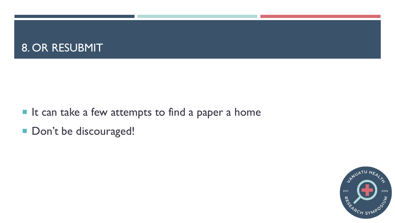# 8. OR RESUBMIT

- I It can take a few attempts to find a paper a home
- Don't be discouraged!

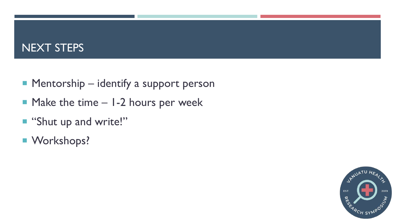# NEXT STEPS

- Mentorship identify a support person
- $\blacksquare$  Make the time  $-$  1-2 hours per week
- "Shut up and write!"
- Workshops?